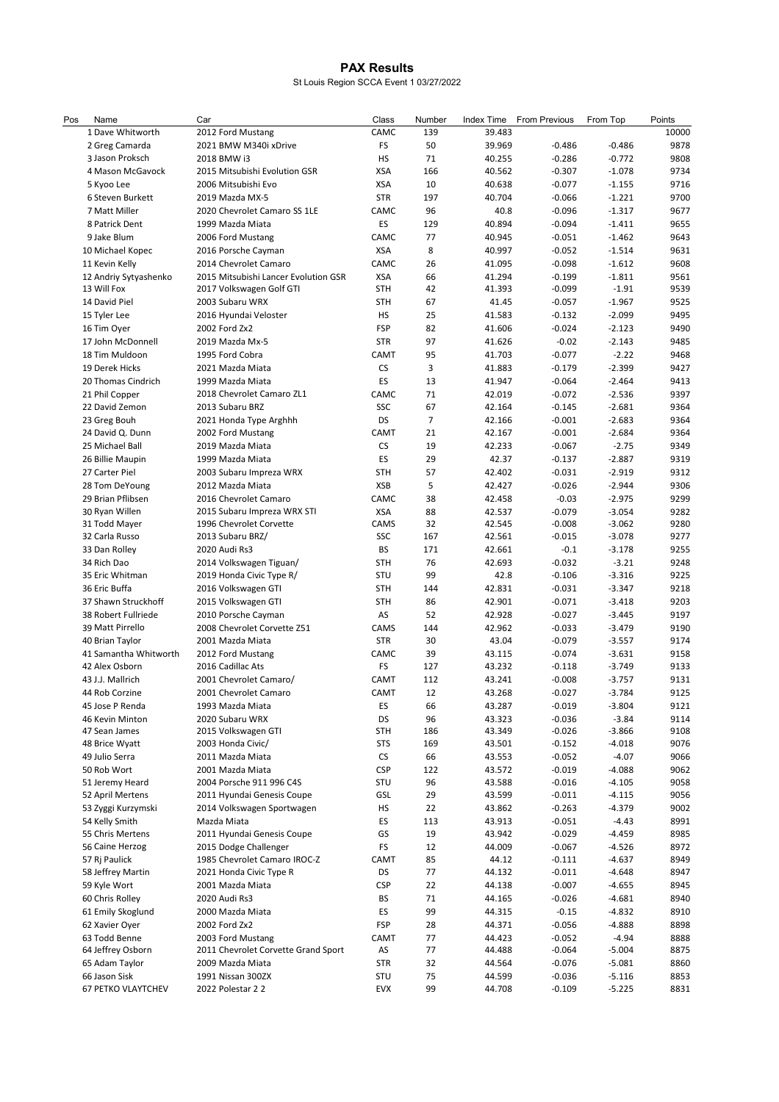## PAX Results

St Louis Region SCCA Event 1 03/27/2022

| Pos | Name                                 | Car                                                 | Class             | Number   | <b>Index Time</b> | <b>From Previous</b> | From Top             | Points       |
|-----|--------------------------------------|-----------------------------------------------------|-------------------|----------|-------------------|----------------------|----------------------|--------------|
|     | 1 Dave Whitworth                     | 2012 Ford Mustang                                   | CAMC              | 139      | 39.483            |                      |                      | 10000        |
|     | 2 Greg Camarda                       | 2021 BMW M340i xDrive                               | FS                | 50       | 39.969            | $-0.486$             | $-0.486$             | 9878         |
|     | 3 Jason Proksch                      | 2018 BMW i3                                         | <b>HS</b>         | 71       | 40.255            | $-0.286$             | $-0.772$             | 9808         |
|     | 4 Mason McGavock                     | 2015 Mitsubishi Evolution GSR                       | <b>XSA</b>        | 166      | 40.562            | $-0.307$             | $-1.078$             | 9734         |
|     | 5 Kyoo Lee                           | 2006 Mitsubishi Evo                                 | <b>XSA</b>        | 10       | 40.638            | $-0.077$             | $-1.155$             | 9716         |
|     | 6 Steven Burkett                     | 2019 Mazda MX-5                                     | <b>STR</b>        | 197      | 40.704            | $-0.066$             | $-1.221$             | 9700         |
|     | 7 Matt Miller                        | 2020 Chevrolet Camaro SS 1LE                        | CAMC              | 96       | 40.8              | $-0.096$             | $-1.317$             | 9677         |
|     | 8 Patrick Dent                       | 1999 Mazda Miata                                    | ES                | 129      | 40.894            | $-0.094$             | $-1.411$             | 9655         |
|     | 9 Jake Blum                          | 2006 Ford Mustang                                   | CAMC              | 77       | 40.945            | $-0.051$             | $-1.462$             | 9643         |
|     | 10 Michael Kopec                     | 2016 Porsche Cayman                                 | XSA               | 8        | 40.997            | $-0.052$             | $-1.514$             | 9631         |
|     | 11 Kevin Kelly                       | 2014 Chevrolet Camaro                               | CAMC              | 26       | 41.095            | $-0.098$             | $-1.612$             | 9608         |
|     | 12 Andriy Sytyashenko<br>13 Will Fox | 2015 Mitsubishi Lancer Evolution GSR                | XSA<br><b>STH</b> | 66<br>42 | 41.294<br>41.393  | $-0.199$<br>$-0.099$ | $-1.811$<br>$-1.91$  | 9561<br>9539 |
|     | 14 David Piel                        | 2017 Volkswagen Golf GTI<br>2003 Subaru WRX         | <b>STH</b>        | 67       | 41.45             | $-0.057$             | $-1.967$             | 9525         |
|     | 15 Tyler Lee                         | 2016 Hyundai Veloster                               | <b>HS</b>         | 25       | 41.583            | $-0.132$             | $-2.099$             | 9495         |
|     | 16 Tim Oyer                          | 2002 Ford Zx2                                       | <b>FSP</b>        | 82       | 41.606            | $-0.024$             | $-2.123$             | 9490         |
|     | 17 John McDonnell                    | 2019 Mazda Mx-5                                     | <b>STR</b>        | 97       | 41.626            | $-0.02$              | $-2.143$             | 9485         |
|     | 18 Tim Muldoon                       | 1995 Ford Cobra                                     | CAMT              | 95       | 41.703            | $-0.077$             | $-2.22$              | 9468         |
|     | 19 Derek Hicks                       | 2021 Mazda Miata                                    | CS                | 3        | 41.883            | $-0.179$             | $-2.399$             | 9427         |
|     | 20 Thomas Cindrich                   | 1999 Mazda Miata                                    | ES                | 13       | 41.947            | $-0.064$             | $-2.464$             | 9413         |
|     | 21 Phil Copper                       | 2018 Chevrolet Camaro ZL1                           | CAMC              | 71       | 42.019            | $-0.072$             | $-2.536$             | 9397         |
|     | 22 David Zemon                       | 2013 Subaru BRZ                                     | SSC               | 67       | 42.164            | $-0.145$             | $-2.681$             | 9364         |
|     | 23 Greg Bouh                         | 2021 Honda Type Arghhh                              | DS                | 7        | 42.166            | $-0.001$             | $-2.683$             | 9364         |
|     | 24 David Q. Dunn                     | 2002 Ford Mustang                                   | CAMT              | 21       | 42.167            | $-0.001$             | $-2.684$             | 9364         |
|     | 25 Michael Ball                      | 2019 Mazda Miata                                    | CS                | 19       | 42.233            | $-0.067$             | $-2.75$              | 9349         |
|     | 26 Billie Maupin                     | 1999 Mazda Miata                                    | ES                | 29       | 42.37             | $-0.137$             | $-2.887$             | 9319         |
|     | 27 Carter Piel                       | 2003 Subaru Impreza WRX                             | <b>STH</b>        | 57       | 42.402            | $-0.031$             | $-2.919$             | 9312         |
|     | 28 Tom DeYoung                       | 2012 Mazda Miata                                    | <b>XSB</b>        | 5        | 42.427            | $-0.026$             | $-2.944$             | 9306         |
|     | 29 Brian Pflibsen                    | 2016 Chevrolet Camaro                               | CAMC              | 38       | 42.458            | $-0.03$              | $-2.975$             | 9299         |
|     | 30 Ryan Willen                       | 2015 Subaru Impreza WRX STI                         | XSA               | 88       | 42.537            | $-0.079$             | $-3.054$             | 9282         |
|     | 31 Todd Mayer                        | 1996 Chevrolet Corvette                             | CAMS              | 32       | 42.545            | $-0.008$             | $-3.062$             | 9280         |
|     | 32 Carla Russo                       | 2013 Subaru BRZ/                                    | SSC               | 167      | 42.561            | $-0.015$             | $-3.078$             | 9277         |
|     | 33 Dan Rolley                        | 2020 Audi Rs3                                       | <b>BS</b>         | 171      | 42.661            | $-0.1$               | $-3.178$             | 9255         |
|     | 34 Rich Dao<br>35 Eric Whitman       | 2014 Volkswagen Tiguan/<br>2019 Honda Civic Type R/ | <b>STH</b><br>STU | 76<br>99 | 42.693<br>42.8    | $-0.032$<br>$-0.106$ | $-3.21$<br>$-3.316$  | 9248<br>9225 |
|     | 36 Eric Buffa                        | 2016 Volkswagen GTI                                 | <b>STH</b>        | 144      | 42.831            | $-0.031$             | $-3.347$             | 9218         |
|     | 37 Shawn Struckhoff                  | 2015 Volkswagen GTI                                 | <b>STH</b>        | 86       | 42.901            | $-0.071$             | $-3.418$             | 9203         |
|     | 38 Robert Fullriede                  | 2010 Porsche Cayman                                 | AS                | 52       | 42.928            | $-0.027$             | $-3.445$             | 9197         |
|     | 39 Matt Pirrello                     | 2008 Chevrolet Corvette Z51                         | CAMS              | 144      | 42.962            | $-0.033$             | $-3.479$             | 9190         |
|     | 40 Brian Taylor                      | 2001 Mazda Miata                                    | <b>STR</b>        | 30       | 43.04             | $-0.079$             | $-3.557$             | 9174         |
|     | 41 Samantha Whitworth                | 2012 Ford Mustang                                   | CAMC              | 39       | 43.115            | $-0.074$             | $-3.631$             | 9158         |
|     | 42 Alex Osborn                       | 2016 Cadillac Ats                                   | <b>FS</b>         | 127      | 43.232            | $-0.118$             | $-3.749$             | 9133         |
|     | 43 J.J. Mallrich                     | 2001 Chevrolet Camaro/                              | CAMT              | 112      | 43.241            | $-0.008$             | $-3.757$             | 9131         |
|     | 44 Rob Corzine                       | 2001 Chevrolet Camaro                               | CAMT              | 12       | 43.268            | $-0.027$             | $-3.784$             | 9125         |
|     | 45 Jose P Renda                      | 1993 Mazda Miata                                    | ES                | 66       | 43.287            | $-0.019$             | $-3.804$             | 9121         |
|     | 46 Kevin Minton                      | 2020 Subaru WRX                                     | DS                | 96       | 43.323            | $-0.036$             | $-3.84$              | 9114         |
|     | 47 Sean James                        | 2015 Volkswagen GTI                                 | <b>STH</b>        | 186      | 43.349            | $-0.026$             | $-3.866$             | 9108         |
|     | 48 Brice Wyatt                       | 2003 Honda Civic/                                   | <b>STS</b>        | 169      | 43.501            | $-0.152$             | $-4.018$             | 9076         |
|     | 49 Julio Serra                       | 2011 Mazda Miata                                    | <b>CS</b>         | 66       | 43.553            | $-0.052$             | $-4.07$              | 9066         |
|     | 50 Rob Wort                          | 2001 Mazda Miata                                    | <b>CSP</b>        | 122      | 43.572            | $-0.019$             | $-4.088$             | 9062         |
|     | 51 Jeremy Heard                      | 2004 Porsche 911 996 C4S                            | STU               | 96       | 43.588            | $-0.016$             | $-4.105$             | 9058         |
|     | 52 April Mertens                     | 2011 Hyundai Genesis Coupe                          | GSL<br>HS         | 29<br>22 | 43.599<br>43.862  | $-0.011$<br>$-0.263$ | $-4.115$<br>$-4.379$ | 9056<br>9002 |
|     | 53 Zyggi Kurzymski<br>54 Kelly Smith | 2014 Volkswagen Sportwagen<br>Mazda Miata           | ES                | 113      | 43.913            | $-0.051$             | $-4.43$              | 8991         |
|     | 55 Chris Mertens                     | 2011 Hyundai Genesis Coupe                          | GS                | 19       | 43.942            | $-0.029$             | $-4.459$             | 8985         |
|     | 56 Caine Herzog                      | 2015 Dodge Challenger                               | FS                | 12       | 44.009            | $-0.067$             | $-4.526$             | 8972         |
|     | 57 Rj Paulick                        | 1985 Chevrolet Camaro IROC-Z                        | CAMT              | 85       | 44.12             | $-0.111$             | $-4.637$             | 8949         |
|     | 58 Jeffrey Martin                    | 2021 Honda Civic Type R                             | DS                | 77       | 44.132            | $-0.011$             | $-4.648$             | 8947         |
|     | 59 Kyle Wort                         | 2001 Mazda Miata                                    | <b>CSP</b>        | 22       | 44.138            | $-0.007$             | $-4.655$             | 8945         |
|     | 60 Chris Rolley                      | 2020 Audi Rs3                                       | <b>BS</b>         | 71       | 44.165            | $-0.026$             | $-4.681$             | 8940         |
|     | 61 Emily Skoglund                    | 2000 Mazda Miata                                    | ES                | 99       | 44.315            | $-0.15$              | $-4.832$             | 8910         |
|     | 62 Xavier Oyer                       | 2002 Ford Zx2                                       | <b>FSP</b>        | 28       | 44.371            | $-0.056$             | $-4.888$             | 8898         |
|     | 63 Todd Benne                        | 2003 Ford Mustang                                   | CAMT              | 77       | 44.423            | $-0.052$             | $-4.94$              | 8888         |
|     | 64 Jeffrey Osborn                    | 2011 Chevrolet Corvette Grand Sport                 | AS                | 77       | 44.488            | $-0.064$             | $-5.004$             | 8875         |
|     | 65 Adam Taylor                       | 2009 Mazda Miata                                    | <b>STR</b>        | 32       | 44.564            | $-0.076$             | $-5.081$             | 8860         |
|     | 66 Jason Sisk                        | 1991 Nissan 300ZX                                   | STU               | 75       | 44.599            | $-0.036$             | $-5.116$             | 8853         |
|     | 67 PETKO VLAYTCHEV                   | 2022 Polestar 22                                    | <b>EVX</b>        | 99       | 44.708            | $-0.109$             | $-5.225$             | 8831         |